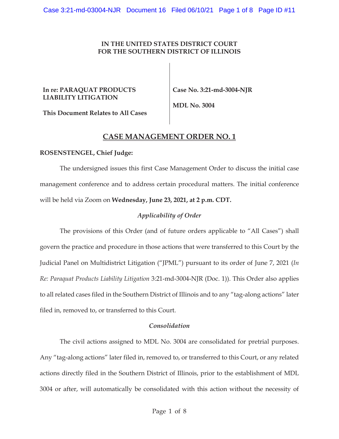## **IN THE UNITED STATES DISTRICT COURT FOR THE SOUTHERN DISTRICT OF ILLINOIS**

### **In re: PARAQUAT PRODUCTS LIABILITY LITIGATION**

**Case No. 3:21-md-3004-NJR** 

**This Document Relates to All Cases** 

**MDL No. 3004** 

# **CASE MANAGEMENT ORDER NO. 1**

### **ROSENSTENGEL, Chief Judge:**

The undersigned issues this first Case Management Order to discuss the initial case management conference and to address certain procedural matters. The initial conference will be held via Zoom on **Wednesday, June 23, 2021, at 2 p.m. CDT.** 

## *Applicability of Order*

The provisions of this Order (and of future orders applicable to "All Cases") shall govern the practice and procedure in those actions that were transferred to this Court by the Judicial Panel on Multidistrict Litigation ("JPML") pursuant to its order of June 7, 2021 (*In Re: Paraquat Products Liability Litigation* 3:21-md-3004-NJR (Doc. 1)). This Order also applies to all related cases filed in the Southern District of Illinois and to any "tag-along actions" later filed in, removed to, or transferred to this Court.

### *Consolidation*

The civil actions assigned to MDL No. 3004 are consolidated for pretrial purposes. Any "tag-along actions" later filed in, removed to, or transferred to this Court, or any related actions directly filed in the Southern District of Illinois, prior to the establishment of MDL 3004 or after, will automatically be consolidated with this action without the necessity of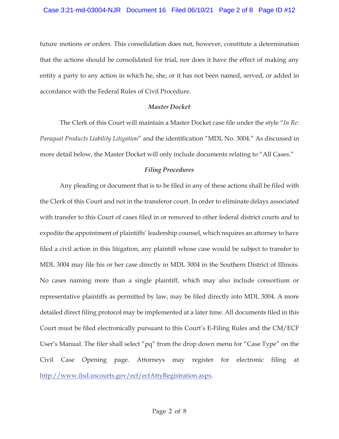future motions or orders. This consolidation does not, however, constitute a determination that the actions should be consolidated for trial, nor does it have the effect of making any entity a party to any action in which he, she, or it has not been named, served, or added in accordance with the Federal Rules of Civil Procedure.

## *Master Docket*

The Clerk of this Court will maintain a Master Docket case file under the style "*In Re: Paraquat Products Liability Litigation*" and the identification "MDL No. 3004." As discussed in more detail below, the Master Docket will only include documents relating to "All Cases."

## *Filing Procedures*

Any pleading or document that is to be filed in any of these actions shall be filed with the Clerk of this Court and not in the transferor court. In order to eliminate delays associated with transfer to this Court of cases filed in or removed to other federal district courts and to expedite the appointment of plaintiffs' leadership counsel, which requires an attorney to have filed a civil action in this litigation, any plaintiff whose case would be subject to transfer to MDL 3004 may file his or her case directly in MDL 3004 in the Southern District of Illinois. No cases naming more than a single plaintiff, which may also include consortium or representative plaintiffs as permitted by law, may be filed directly into MDL 3004. A more detailed direct filing protocol may be implemented at a later time. All documents filed in this Court must be filed electronically pursuant to this Court's E-Filing Rules and the CM/ECF User's Manual. The filer shall select "pq" from the drop down menu for "Case Type" on the Civil Case Opening page. Attorneys may register for electronic filing at http://www.ilsd.uscourts.gov/ecf/ecfAttyRegistration.aspx.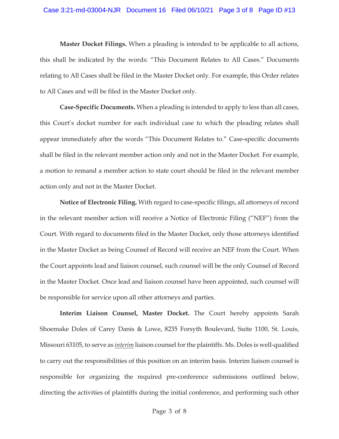#### Case 3:21-md-03004-NJR Document 16 Filed 06/10/21 Page 3 of 8 Page ID #13

**Master Docket Filings.** When a pleading is intended to be applicable to all actions, this shall be indicated by the words: "This Document Relates to All Cases." Documents relating to All Cases shall be filed in the Master Docket only. For example, this Order relates to All Cases and will be filed in the Master Docket only.

**Case-Specific Documents.** When a pleading is intended to apply to less than all cases, this Court's docket number for each individual case to which the pleading relates shall appear immediately after the words "This Document Relates to." Case-specific documents shall be filed in the relevant member action only and not in the Master Docket. For example, a motion to remand a member action to state court should be filed in the relevant member action only and not in the Master Docket.

**Notice of Electronic Filing.** With regard to case-specific filings, all attorneys of record in the relevant member action will receive a Notice of Electronic Filing ("NEF") from the Court. With regard to documents filed in the Master Docket, only those attorneys identified in the Master Docket as being Counsel of Record will receive an NEF from the Court. When the Court appoints lead and liaison counsel, such counsel will be the only Counsel of Record in the Master Docket. Once lead and liaison counsel have been appointed, such counsel will be responsible for service upon all other attorneys and parties.

**Interim Liaison Counsel, Master Docket.** The Court hereby appoints Sarah Shoemake Doles of Carey Danis & Lowe, 8235 Forsyth Boulevard, Suite 1100, St. Louis, Missouri 63105, to serve as *interim* liaison counsel for the plaintiffs. Ms. Doles is well-qualified to carry out the responsibilities of this position on an interim basis. Interim liaison counsel is responsible for organizing the required pre-conference submissions outlined below, directing the activities of plaintiffs during the initial conference, and performing such other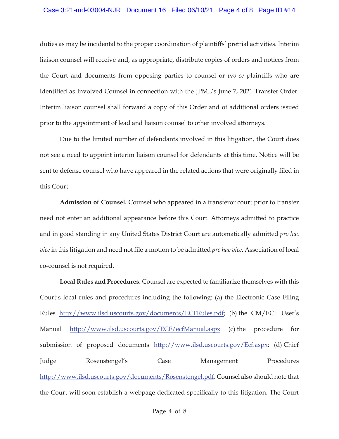### Case 3:21-md-03004-NJR Document 16 Filed 06/10/21 Page 4 of 8 Page ID #14

duties as may be incidental to the proper coordination of plaintiffs' pretrial activities. Interim liaison counsel will receive and, as appropriate, distribute copies of orders and notices from the Court and documents from opposing parties to counsel or *pro se* plaintiffs who are identified as Involved Counsel in connection with the JPML's June 7, 2021 Transfer Order. Interim liaison counsel shall forward a copy of this Order and of additional orders issued prior to the appointment of lead and liaison counsel to other involved attorneys.

Due to the limited number of defendants involved in this litigation, the Court does not see a need to appoint interim liaison counsel for defendants at this time. Notice will be sent to defense counsel who have appeared in the related actions that were originally filed in this Court.

**Admission of Counsel.** Counsel who appeared in a transferor court prior to transfer need not enter an additional appearance before this Court. Attorneys admitted to practice and in good standing in any United States District Court are automatically admitted *pro hac vice* in this litigation and need not file a motion to be admitted *pro hac vice*. Association of local co-counsel is not required.

**Local Rules and Procedures.** Counsel are expected to familiarize themselves with this Court's local rules and procedures including the following: (a) the Electronic Case Filing Rules <u>http://www.ilsd.uscourts.gov/documents/ECFRules.pdf</u>; (b) the CM/ECF User's Manual http://www.ilsd.uscourts.gov/ECF/ecfManual.aspx (c) the procedure for submission of proposed documents http://www.ilsd.uscourts.gov/Ecf.aspx; (d) Chief Judge Rosenstengel's Case Management Procedures http://www.ilsd.uscourts.gov/documents/Rosenstengel.pdf. Counsel also should note that the Court will soon establish a webpage dedicated specifically to this litigation. The Court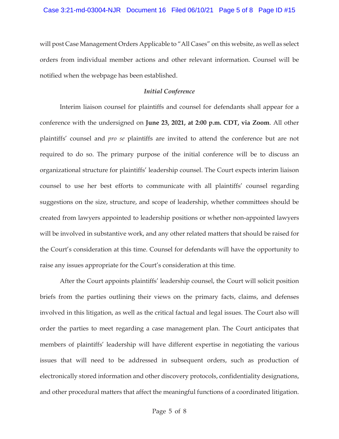will post Case Management Orders Applicable to "All Cases" on this website, as well as select orders from individual member actions and other relevant information. Counsel will be notified when the webpage has been established.

### *Initial Conference*

Interim liaison counsel for plaintiffs and counsel for defendants shall appear for a conference with the undersigned on **June 23, 2021, at 2:00 p.m. CDT, via Zoom**. All other plaintiffs' counsel and *pro se* plaintiffs are invited to attend the conference but are not required to do so. The primary purpose of the initial conference will be to discuss an organizational structure for plaintiffs' leadership counsel. The Court expects interim liaison counsel to use her best efforts to communicate with all plaintiffs' counsel regarding suggestions on the size, structure, and scope of leadership, whether committees should be created from lawyers appointed to leadership positions or whether non-appointed lawyers will be involved in substantive work, and any other related matters that should be raised for the Court's consideration at this time. Counsel for defendants will have the opportunity to raise any issues appropriate for the Court's consideration at this time.

After the Court appoints plaintiffs' leadership counsel, the Court will solicit position briefs from the parties outlining their views on the primary facts, claims, and defenses involved in this litigation, as well as the critical factual and legal issues. The Court also will order the parties to meet regarding a case management plan. The Court anticipates that members of plaintiffs' leadership will have different expertise in negotiating the various issues that will need to be addressed in subsequent orders, such as production of electronically stored information and other discovery protocols, confidentiality designations, and other procedural matters that affect the meaningful functions of a coordinated litigation.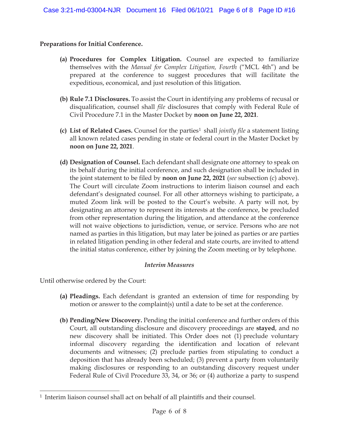# **Preparations for Initial Conference.**

- **(a) Procedures for Complex Litigation.** Counsel are expected to familiarize themselves with the *Manual for Complex Litigation, Fourth* ("MCL 4th") and be prepared at the conference to suggest procedures that will facilitate the expeditious, economical, and just resolution of this litigation.
- **(b) Rule 7.1 Disclosures.** To assist the Court in identifying any problems of recusal or disqualification, counsel shall *file* disclosures that comply with Federal Rule of Civil Procedure 7.1 in the Master Docket by **noon on June 22, 2021**.
- **(c)** List of Related Cases. Counsel for the parties<sup>1</sup> shall *jointly file* a statement listing all known related cases pending in state or federal court in the Master Docket by **noon on June 22, 2021**.
- **(d) Designation of Counsel.** Each defendant shall designate one attorney to speak on its behalf during the initial conference, and such designation shall be included in the joint statement to be filed by **noon on June 22, 2021** (*see* subsection (c) above). The Court will circulate Zoom instructions to interim liaison counsel and each defendant's designated counsel. For all other attorneys wishing to participate, a muted Zoom link will be posted to the Court's website. A party will not, by designating an attorney to represent its interests at the conference, be precluded from other representation during the litigation, and attendance at the conference will not waive objections to jurisdiction, venue, or service. Persons who are not named as parties in this litigation, but may later be joined as parties or are parties in related litigation pending in other federal and state courts, are invited to attend the initial status conference, either by joining the Zoom meeting or by telephone.

## *Interim Measures*

Until otherwise ordered by the Court:

- **(a) Pleadings.** Each defendant is granted an extension of time for responding by motion or answer to the complaint(s) until a date to be set at the conference.
- **(b) Pending/New Discovery.** Pending the initial conference and further orders of this Court, all outstanding disclosure and discovery proceedings are **stayed**, and no new discovery shall be initiated. This Order does not (1) preclude voluntary informal discovery regarding the identification and location of relevant documents and witnesses; (2) preclude parties from stipulating to conduct a deposition that has already been scheduled; (3) prevent a party from voluntarily making disclosures or responding to an outstanding discovery request under Federal Rule of Civil Procedure 33, 34, or 36; or (4) authorize a party to suspend

<sup>&</sup>lt;sup>1</sup> Interim liaison counsel shall act on behalf of all plaintiffs and their counsel.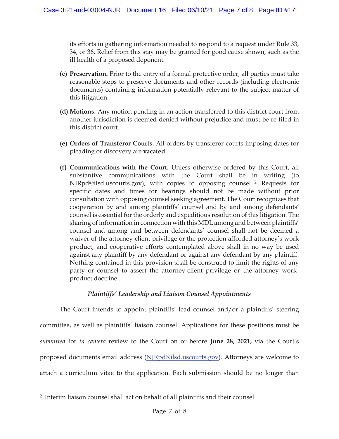its efforts in gathering information needed to respond to a request under Rule 33, 34, or 36. Relief from this stay may be granted for good cause shown, such as the ill health of a proposed deponent.

- **(c) Preservation.** Prior to the entry of a formal protective order, all parties must take reasonable steps to preserve documents and other records (including electronic documents) containing information potentially relevant to the subject matter of this litigation.
- **(d) Motions.** Any motion pending in an action transferred to this district court from another jurisdiction is deemed denied without prejudice and must be re-filed in this district court.
- **(e) Orders of Transferor Courts.** All orders by transferor courts imposing dates for pleading or discovery are **vacated**.
- **(f) Communications with the Court.** Unless otherwise ordered by this Court, all substantive communications with the Court shall be in writing (to NJRpd@ilsd.uscourts.gov), with copies to opposing counsel. 2 Requests for specific dates and times for hearings should not be made without prior consultation with opposing counsel seeking agreement. The Court recognizes that cooperation by and among plaintiffs' counsel and by and among defendants' counsel is essential for the orderly and expeditious resolution of this litigation. The sharing of information in connection with this MDL among and between plaintiffs' counsel and among and between defendants' counsel shall not be deemed a waiver of the attorney-client privilege or the protection afforded attorney's work product, and cooperative efforts contemplated above shall in no way be used against any plaintiff by any defendant or against any defendant by any plaintiff. Nothing contained in this provision shall be construed to limit the rights of any party or counsel to assert the attorney-client privilege or the attorney workproduct doctrine.

## *Plaintiffs' Leadership and Liaison Counsel Appointments*

The Court intends to appoint plaintiffs' lead counsel and/or a plaintiffs' steering committee, as well as plaintiffs' liaison counsel. Applications for these positions must be *submitted* for *in camera* review to the Court on or before **June 28, 2021,** via the Court's proposed documents email address (NJRpd@ilsd.uscourts.gov). Attorneys are welcome to attach a curriculum vitae to the application. Each submission should be no longer than

<sup>2</sup> Interim liaison counsel shall act on behalf of all plaintiffs and their counsel.